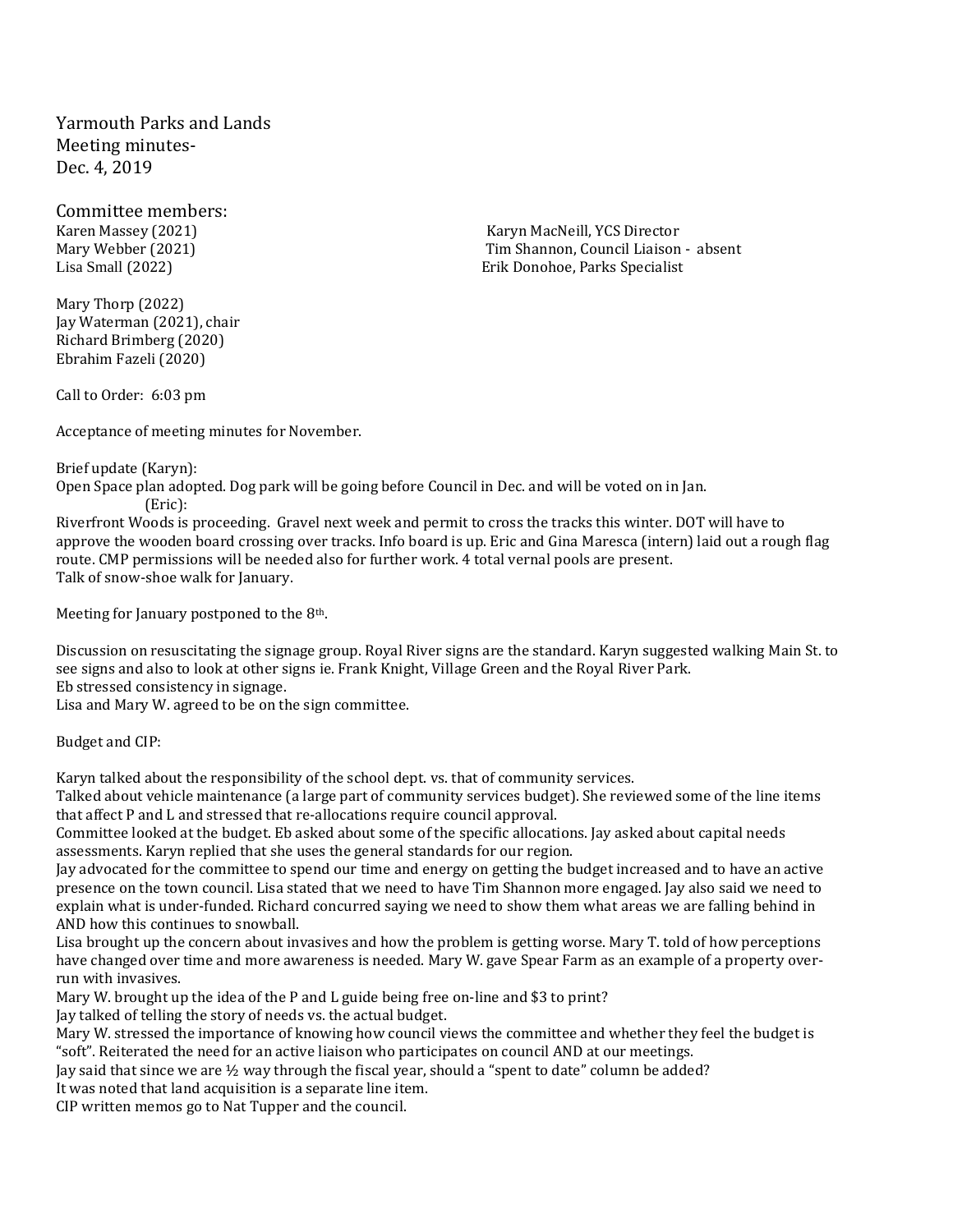Yarmouth Parks and Lands Meeting minutes-Dec. 4, 2019

Committee members:

Mary Thorp (2022) Jay Waterman (2021), chair Richard Brimberg (2020) Ebrahim Fazeli (2020)

Karen Massey (2021) The Controller Controller MacNeill, YCS Director Controller MacNeill, YCS Director Mary Webber (2021) Tim Shannon, Council Liaison - absent Lisa Small (2022) Erik Donohoe, Parks Specialist

Call to Order: 6:03 pm

Acceptance of meeting minutes for November.

Brief update (Karyn):

Open Space plan adopted. Dog park will be going before Council in Dec. and will be voted on in Jan. (Eric):

Riverfront Woods is proceeding. Gravel next week and permit to cross the tracks this winter. DOT will have to approve the wooden board crossing over tracks. Info board is up. Eric and Gina Maresca (intern) laid out a rough flag route. CMP permissions will be needed also for further work. 4 total vernal pools are present. Talk of snow-shoe walk for January.

Meeting for January postponed to the 8<sup>th</sup>.

Discussion on resuscitating the signage group. Royal River signs are the standard. Karyn suggested walking Main St. to see signs and also to look at other signs ie. Frank Knight, Village Green and the Royal River Park. Eb stressed consistency in signage.

Lisa and Mary W. agreed to be on the sign committee.

Budget and CIP:

Karyn talked about the responsibility of the school dept. vs. that of community services.

Talked about vehicle maintenance (a large part of community services budget). She reviewed some of the line items that affect P and L and stressed that re-allocations require council approval.

Committee looked at the budget. Eb asked about some of the specific allocations. Jay asked about capital needs assessments. Karyn replied that she uses the general standards for our region.

Jay advocated for the committee to spend our time and energy on getting the budget increased and to have an active presence on the town council. Lisa stated that we need to have Tim Shannon more engaged. Jay also said we need to explain what is under-funded. Richard concurred saying we need to show them what areas we are falling behind in AND how this continues to snowball.

Lisa brought up the concern about invasives and how the problem is getting worse. Mary T. told of how perceptions have changed over time and more awareness is needed. Mary W. gave Spear Farm as an example of a property overrun with invasives.

Mary W. brought up the idea of the P and L guide being free on-line and \$3 to print?

Jay talked of telling the story of needs vs. the actual budget.

Mary W. stressed the importance of knowing how council views the committee and whether they feel the budget is "soft". Reiterated the need for an active liaison who participates on council AND at our meetings.

Jay said that since we are ½ way through the fiscal year, should a "spent to date" column be added?

It was noted that land acquisition is a separate line item.

CIP written memos go to Nat Tupper and the council.